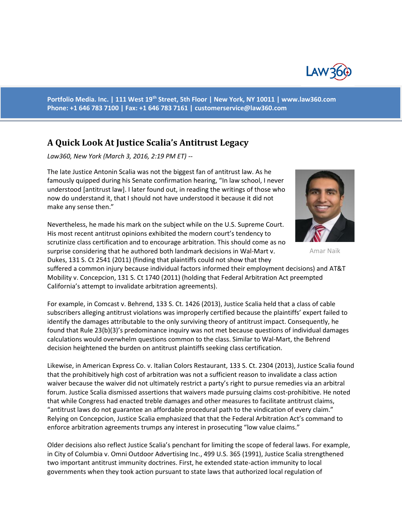

**Portfolio Media. Inc. | 111 West 19th Street, 5th Floor | New York, NY 10011 | www.law360.com Phone: +1 646 783 7100 | Fax: +1 646 783 7161 | [customerservice@law360.com](mailto:customerservice@law360.com)**

## **A Quick Look At Justice Scalia's Antitrust Legacy**

*Law360, New York (March 3, 2016, 2:19 PM ET) --*

The late Justice Antonin Scalia was not the biggest fan of antitrust law. As he famously quipped during his Senate confirmation hearing, "In law school, I never understood [antitrust law]. I later found out, in reading the writings of those who now do understand it, that I should not have understood it because it did not make any sense then."



Amar Naik

Nevertheless, he made his mark on the subject while on the U.S. Supreme Court. His most recent antitrust opinions exhibited the modern court's tendency to scrutinize class certification and to encourage arbitration. This should come as no surprise considering that he authored both landmark decisions in Wal-Mart v. Dukes, 131 S. Ct 2541 (2011) (finding that plaintiffs could not show that they

suffered a common injury because individual factors informed their employment decisions) and AT&T Mobility v. Concepcion, 131 S. Ct 1740 (2011) (holding that Federal Arbitration Act preempted California's attempt to invalidate arbitration agreements).

For example, in Comcast v. Behrend, 133 S. Ct. 1426 (2013), Justice Scalia held that a class of cable subscribers alleging antitrust violations was improperly certified because the plaintiffs' expert failed to identify the damages attributable to the only surviving theory of antitrust impact. Consequently, he found that Rule 23(b)(3)'s predominance inquiry was not met because questions of individual damages calculations would overwhelm questions common to the class. Similar to Wal-Mart, the Behrend decision heightened the burden on antitrust plaintiffs seeking class certification.

Likewise, in American Express Co. v. Italian Colors Restaurant, 133 S. Ct. 2304 (2013), Justice Scalia found that the prohibitively high cost of arbitration was not a sufficient reason to invalidate a class action waiver because the waiver did not ultimately restrict a party's right to pursue remedies via an arbitral forum. Justice Scalia dismissed assertions that waivers made pursuing claims cost-prohibitive. He noted that while Congress had enacted treble damages and other measures to facilitate antitrust claims, "antitrust laws do not guarantee an affordable procedural path to the vindication of every claim." Relying on Concepcion, Justice Scalia emphasized that that the Federal Arbitration Act's command to enforce arbitration agreements trumps any interest in prosecuting "low value claims."

Older decisions also reflect Justice Scalia's penchant for limiting the scope of federal laws. For example, in City of Columbia v. Omni Outdoor Advertising Inc., 499 U.S. 365 (1991), Justice Scalia strengthened two important antitrust immunity doctrines. First, he extended state-action immunity to local governments when they took action pursuant to state laws that authorized local regulation of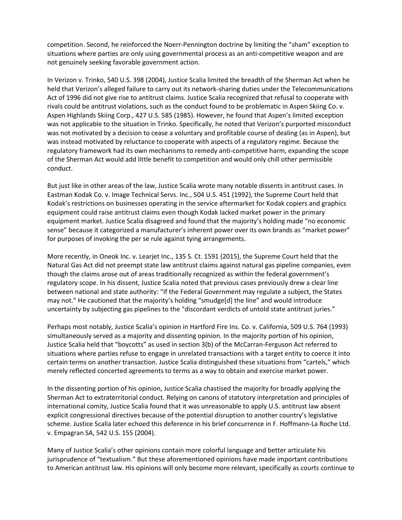competition. Second, he reinforced the Noerr-Pennington doctrine by limiting the "sham" exception to situations where parties are only using governmental process as an anti-competitive weapon and are not genuinely seeking favorable government action.

In Verizon v. Trinko, 540 U.S. 398 (2004), Justice Scalia limited the breadth of the Sherman Act when he held that Verizon's alleged failure to carry out its network-sharing duties under the Telecommunications Act of 1996 did not give rise to antitrust claims. Justice Scalia recognized that refusal to cooperate with rivals could be antitrust violations, such as the conduct found to be problematic in Aspen Skiing Co. v. Aspen Highlands Skiing Corp., 427 U.S. 585 (1985). However, he found that Aspen's limited exception was not applicable to the situation in Trinko. Specifically, he noted that Verizon's purported misconduct was not motivated by a decision to cease a voluntary and profitable course of dealing (as in Aspen), but was instead motivated by reluctance to cooperate with aspects of a regulatory regime. Because the regulatory framework had its own mechanisms to remedy anti-competitive harm, expanding the scope of the Sherman Act would add little benefit to competition and would only chill other permissible conduct.

But just like in other areas of the law, Justice Scalia wrote many notable dissents in antitrust cases. In Eastman Kodak Co. v. Image Technical Servs. Inc., 504 U.S. 451 (1992), the Supreme Court held that Kodak's restrictions on businesses operating in the service aftermarket for Kodak copiers and graphics equipment could raise antitrust claims even though Kodak lacked market power in the primary equipment market. Justice Scalia disagreed and found that the majority's holding made "no economic sense" because it categorized a manufacturer's inherent power over its own brands as "market power" for purposes of invoking the per se rule against tying arrangements.

More recently, in Oneok Inc. v. Learjet Inc., 135 S. Ct. 1591 (2015), the Supreme Court held that the Natural Gas Act did not preempt state law antitrust claims against natural gas pipeline companies, even though the claims arose out of areas traditionally recognized as within the federal government's regulatory scope. In his dissent, Justice Scalia noted that previous cases previously drew a clear line between national and state authority: "If the Federal Government may regulate a subject, the States may not." He cautioned that the majority's holding "smudge[d] the line" and would introduce uncertainty by subjecting gas pipelines to the "discordant verdicts of untold state antitrust juries."

Perhaps most notably, Justice Scalia's opinion in Hartford Fire Ins. Co. v. California, 509 U.S. 764 (1993) simultaneously served as a majority and dissenting opinion. In the majority portion of his opinion, Justice Scalia held that "boycotts" as used in section 3(b) of the McCarran-Ferguson Act referred to situations where parties refuse to engage in unrelated transactions with a target entity to coerce it into certain terms on another transaction. Justice Scalia distinguished these situations from "cartels," which merely reflected concerted agreements to terms as a way to obtain and exercise market power.

In the dissenting portion of his opinion, Justice Scalia chastised the majority for broadly applying the Sherman Act to extraterritorial conduct. Relying on canons of statutory interpretation and principles of international comity, Justice Scalia found that it was unreasonable to apply U.S. antitrust law absent explicit congressional directives because of the potential disruption to another country's legislative scheme. Justice Scalia later echoed this deference in his brief concurrence in F. Hoffmann-La Roche Ltd. v. Empagran SA, 542 U.S. 155 (2004).

Many of Justice Scalia's other opinions contain more colorful language and better articulate his jurisprudence of "textualism." But these aforementioned opinions have made important contributions to American antitrust law. His opinions will only become more relevant, specifically as courts continue to